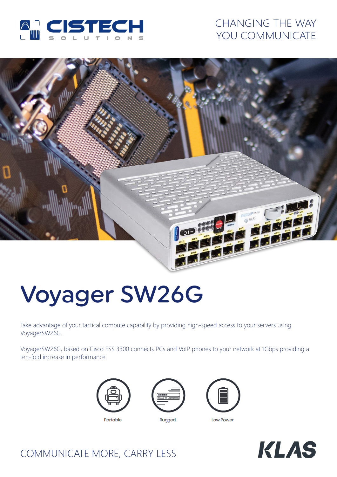

## CHANGING THE WAY YOU COMMUNICATE



# Voyager SW26G

Take advantage of your tactical compute capability by providing high-speed access to your servers using VoyagerSW26G.

VoyagerSW26G, based on Cisco ESS 3300 connects PCs and VoIP phones to your network at 1Gbps providing a ten-fold increase in performance.



Portable



Rugged







## COMMUNICATE MORE, CARRY LESS